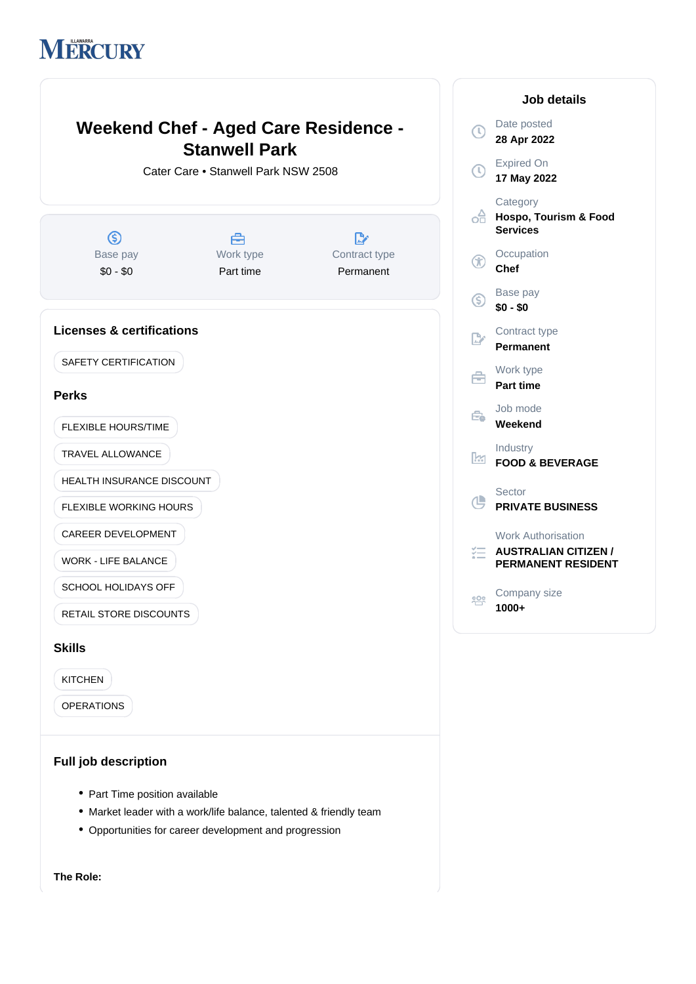# MERCURY



**28 Apr 2022** Expired On **17 May 2022 Category d<sub>d</sub>** Hospo, Tourism & Food **Services Occupation Chef** Base pay **\$0 - \$0** Contract type **Permanent** Work type **Part time** Job mode **Weekend** Industry **FOOD & BEVERAGE** Sector **PRIVATE BUSINESS** Work Authorisation **EXECUTE AUSTRALIAN CITIZEN / PERMANENT RESIDENT** Company size **1000+**

**Job details**

- Part Time position available
- Market leader with a work/life balance, talented & friendly team
- Opportunities for career development and progression

**The Role:**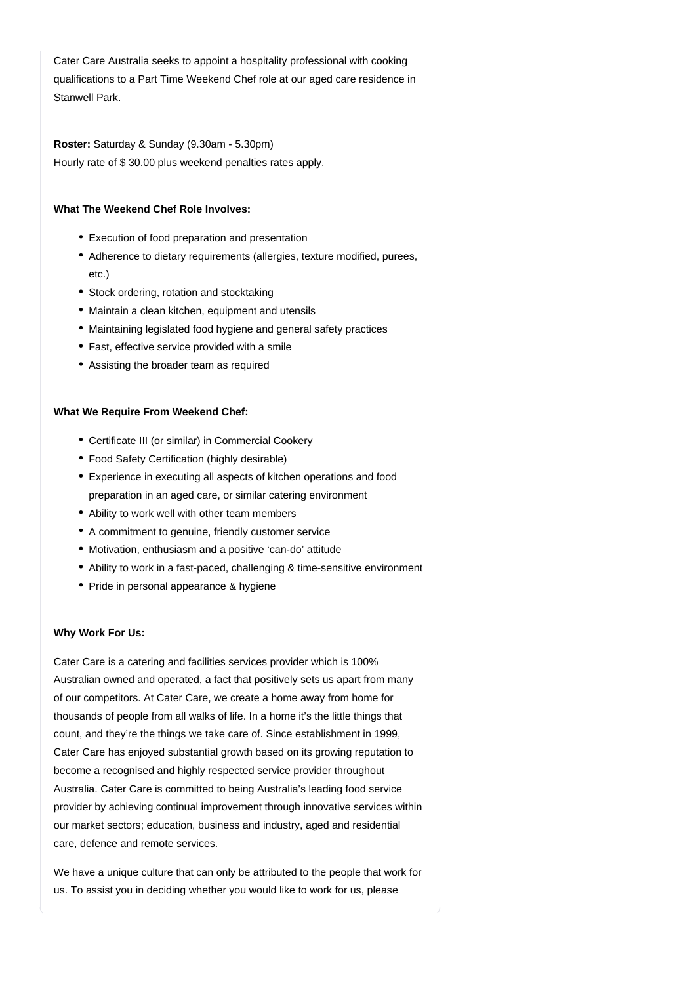Cater Care Australia seeks to appoint a hospitality professional with cooking qualifications to a Part Time Weekend Chef role at our aged care residence in Stanwell Park.

Roster: Saturday & Sunday (9.30am - 5.30pm) Hourly rate of \$ 30.00 plus weekend penalties rates apply.

#### **What The Weekend Chef Role Involves:**

- Execution of food preparation and presentation
- Adherence to dietary requirements (allergies, texture modified, purees, etc.)
- Stock ordering, rotation and stocktaking
- Maintain a clean kitchen, equipment and utensils
- Maintaining legislated food hygiene and general safety practices
- Fast, effective service provided with a smile
- Assisting the broader team as required

#### **What We Require From Weekend Chef:**

- Certificate III (or similar) in Commercial Cookery
- Food Safety Certification (highly desirable)
- Experience in executing all aspects of kitchen operations and food preparation in an aged care, or similar catering environment
- Ability to work well with other team members
- A commitment to genuine, friendly customer service
- Motivation, enthusiasm and a positive 'can-do' attitude
- Ability to work in a fast-paced, challenging & time-sensitive environment
- Pride in personal appearance & hygiene

#### **Why Work For Us:**

Cater Care is a catering and facilities services provider which is 100% Australian owned and operated, a fact that positively sets us apart from many of our competitors. At Cater Care, we create a home away from home for thousands of people from all walks of life. In a home it's the little things that count, and they're the things we take care of. Since establishment in 1999, Cater Care has enjoyed substantial growth based on its growing reputation to become a recognised and highly respected service provider throughout Australia. Cater Care is committed to being Australia's leading food service provider by achieving continual improvement through innovative services within our market sectors; education, business and industry, aged and residential care, defence and remote services.

We have a unique culture that can only be attributed to the people that work for us. To assist you in deciding whether you would like to work for us, please